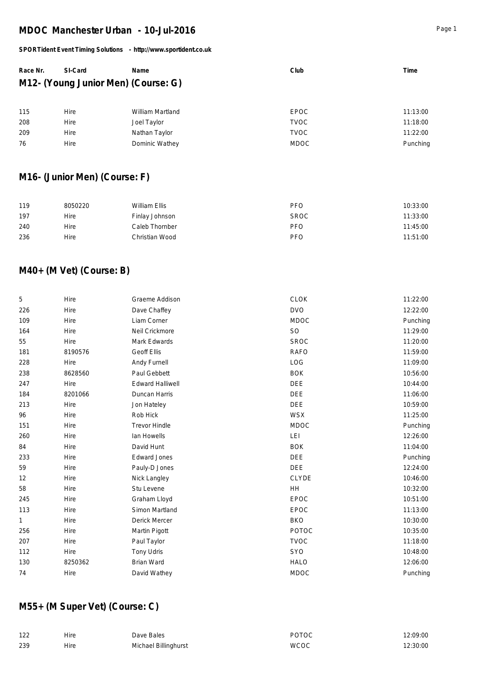#### *SPORTident Event Timing Solutions - http://www.sportident.co.uk*

| Race Nr. | SI-Card                             | Name | Club | Time |
|----------|-------------------------------------|------|------|------|
|          | M12- (Young Junior Men) (Course: G) |      |      |      |
|          |                                     |      |      |      |

| 115 | Hire | William Martland | EPOC        | 11:13:00 |
|-----|------|------------------|-------------|----------|
| 208 | Hire | Joel Taylor      | TVOC        | 11:18:00 |
| 209 | Hire | Nathan Taylor    | TVOC        | 11:22:00 |
| 76  | Hire | Dominic Wathey   | <b>MDOC</b> | Punching |
|     |      |                  |             |          |

## **M16- (Junior Men) (Course: F)**

| 119 | 8050220 | William Ellis  | <b>PFO</b>  | 10:33:00 |
|-----|---------|----------------|-------------|----------|
| 197 | Hire    | Finlay Johnson | <b>SROC</b> | 11:33:00 |
| 240 | Hire    | Caleb Thornber | <b>PFO</b>  | 11:45:00 |
| 236 | Hire    | Christian Wood | <b>PFO</b>  | 11:51:00 |

## **M40+ (M Vet) (Course: B)**

| 5            | Hire    | Graeme Addison          | <b>CLOK</b>  | 11:22:00 |
|--------------|---------|-------------------------|--------------|----------|
| 226          | Hire    | Dave Chaffey            | <b>DVO</b>   | 12:22:00 |
| 109          | Hire    | Liam Corner             | <b>MDOC</b>  | Punching |
| 164          | Hire    | Neil Crickmore          | <b>SO</b>    | 11:29:00 |
| 55           | Hire    | Mark Edwards            | <b>SROC</b>  | 11:20:00 |
| 181          | 8190576 | <b>Geoff Ellis</b>      | <b>RAFO</b>  | 11:59:00 |
| 228          | Hire    | Andy Furnell            | LOG          | 11:09:00 |
| 238          | 8628560 | Paul Gebbett            | <b>BOK</b>   | 10:56:00 |
| 247          | Hire    | <b>Edward Halliwell</b> | <b>DEE</b>   | 10:44:00 |
| 184          | 8201066 | Duncan Harris           | <b>DEE</b>   | 11:06:00 |
| 213          | Hire    | Jon Hateley             | <b>DEE</b>   | 10:59:00 |
| 96           | Hire    | Rob Hick                | <b>WSX</b>   | 11:25:00 |
| 151          | Hire    | <b>Trevor Hindle</b>    | <b>MDOC</b>  | Punching |
| 260          | Hire    | Ian Howells             | LEI          | 12:26:00 |
| 84           | Hire    | David Hunt              | <b>BOK</b>   | 11:04:00 |
| 233          | Hire    | <b>Edward Jones</b>     | <b>DEE</b>   | Punching |
| 59           | Hire    | Pauly-D Jones           | <b>DEE</b>   | 12:24:00 |
| 12           | Hire    | Nick Langley            | <b>CLYDE</b> | 10:46:00 |
| 58           | Hire    | Stu Levene              | <b>HH</b>    | 10:32:00 |
| 245          | Hire    | Graham Lloyd            | EPOC         | 10:51:00 |
| 113          | Hire    | Simon Martland          | <b>EPOC</b>  | 11:13:00 |
| $\mathbf{1}$ | Hire    | Derick Mercer           | <b>BKO</b>   | 10:30:00 |
| 256          | Hire    | Martin Pigott           | POTOC        | 10:35:00 |
| 207          | Hire    | Paul Taylor             | <b>TVOC</b>  | 11:18:00 |
| 112          | Hire    | Tony Udris              | SYO          | 10:48:00 |
| 130          | 8250362 | Brian Ward              | <b>HALO</b>  | 12:06:00 |
| 74           | Hire    | David Wathey            | <b>MDOC</b>  | Punching |
|              |         |                         |              |          |

## **M55+ (M Super Vet) (Course: C)**

| 122 | Hire | Dave Bales           | <b>POTOC</b> | 12:09:00 |
|-----|------|----------------------|--------------|----------|
| 239 | Hire | Michael Billinghurst | <b>WCOC</b>  | 12:30:00 |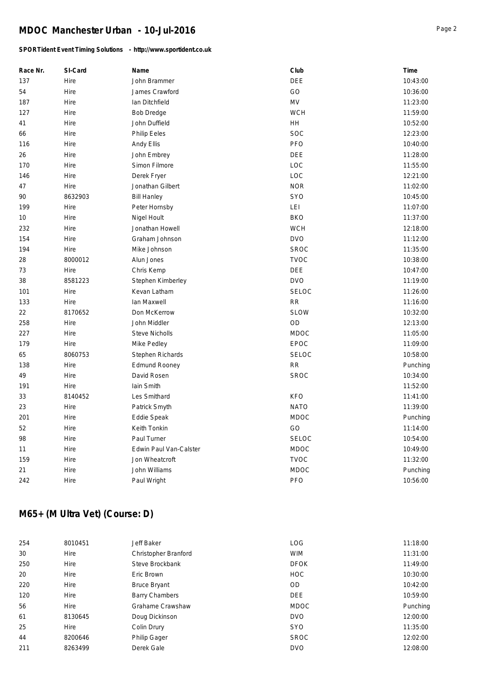### *SPORTident Event Timing Solutions - http://www.sportident.co.uk*

| Race Nr. | SI-Card | Name                   | Club         | Time     |
|----------|---------|------------------------|--------------|----------|
| 137      | Hire    | John Brammer           | DEE          | 10:43:00 |
| 54       | Hire    | James Crawford         | GO           | 10:36:00 |
| 187      | Hire    | Ian Ditchfield         | <b>MV</b>    | 11:23:00 |
| 127      | Hire    | <b>Bob Dredge</b>      | <b>WCH</b>   | 11:59:00 |
| 41       | Hire    | John Duffield          | <b>HH</b>    | 10:52:00 |
| 66       | Hire    | Philip Eeles           | <b>SOC</b>   | 12:23:00 |
| 116      | Hire    | Andy Ellis             | PFO          | 10:40:00 |
| 26       | Hire    | John Embrey            | DEE          | 11:28:00 |
| 170      | Hire    | Simon Filmore          | LOC          | 11:55:00 |
| 146      | Hire    | Derek Fryer            | LOC          | 12:21:00 |
| 47       | Hire    | Jonathan Gilbert       | <b>NOR</b>   | 11:02:00 |
| 90       | 8632903 | <b>Bill Hanley</b>     | <b>SYO</b>   | 10:45:00 |
| 199      | Hire    | Peter Hornsby          | LEI          | 11:07:00 |
| 10       | Hire    | Nigel Hoult            | <b>BKO</b>   | 11:37:00 |
| 232      | Hire    | Jonathan Howell        | <b>WCH</b>   | 12:18:00 |
| 154      | Hire    | Graham Johnson         | <b>DVO</b>   | 11:12:00 |
| 194      | Hire    | Mike Johnson           | <b>SROC</b>  | 11:35:00 |
| 28       | 8000012 | Alun Jones             | <b>TVOC</b>  | 10:38:00 |
| 73       | Hire    | Chris Kemp             | <b>DEE</b>   | 10:47:00 |
| 38       | 8581223 | Stephen Kimberley      | <b>DVO</b>   | 11:19:00 |
| 101      | Hire    | Kevan Latham           | <b>SELOC</b> | 11:26:00 |
| 133      | Hire    | Ian Maxwell            | <b>RR</b>    | 11:16:00 |
| 22       | 8170652 | Don McKerrow           | <b>SLOW</b>  | 10:32:00 |
| 258      | Hire    | John Middler           | <b>OD</b>    | 12:13:00 |
| 227      | Hire    | <b>Steve Nicholls</b>  | <b>MDOC</b>  | 11:05:00 |
| 179      | Hire    | Mike Pedley            | EPOC         | 11:09:00 |
| 65       | 8060753 | Stephen Richards       | <b>SELOC</b> | 10:58:00 |
| 138      | Hire    | <b>Edmund Rooney</b>   | <b>RR</b>    | Punching |
| 49       | Hire    | David Rosen            | <b>SROC</b>  | 10:34:00 |
| 191      | Hire    | <b>lain Smith</b>      |              | 11:52:00 |
| 33       | 8140452 | Les Smithard           | <b>KFO</b>   | 11:41:00 |
| 23       | Hire    | Patrick Smyth          | <b>NATO</b>  | 11:39:00 |
| 201      | Hire    | Eddie Speak            | <b>MDOC</b>  | Punching |
| 52       | Hire    | Keith Tonkin           | GO           | 11:14:00 |
| 98       | Hire    | Paul Turner            | <b>SELOC</b> | 10:54:00 |
| 11       | Hire    | Edwin Paul Van-Calster | MDOC         | 10:49:00 |
| 159      | Hire    | Jon Wheatcroft         | <b>TVOC</b>  | 11:32:00 |
| 21       | Hire    | John Williams          | <b>MDOC</b>  | Punching |
| 242      | Hire    | Paul Wright            | PFO          | 10:56:00 |

# **M65+ (M Ultra Vet) (Course: D)**

| 254 | 8010451 | Jeff Baker            | <b>LOG</b>  | 11:18:00 |
|-----|---------|-----------------------|-------------|----------|
| 30  | Hire    | Christopher Branford  | <b>WIM</b>  | 11:31:00 |
| 250 | Hire    | Steve Brockbank       | <b>DFOK</b> | 11:49:00 |
| 20  | Hire    | Eric Brown            | <b>HOC</b>  | 10:30:00 |
| 220 | Hire    | <b>Bruce Bryant</b>   | OD          | 10:42:00 |
| 120 | Hire    | <b>Barry Chambers</b> | <b>DEE</b>  | 10:59:00 |
| 56  | Hire    | Grahame Crawshaw      | <b>MDOC</b> | Punching |
| 61  | 8130645 | Doug Dickinson        | <b>DVO</b>  | 12:00:00 |
| 25  | Hire    | Colin Drury           | <b>SYO</b>  | 11:35:00 |
| 44  | 8200646 | <b>Philip Gager</b>   | <b>SROC</b> | 12:02:00 |
| 211 | 8263499 | Derek Gale            | <b>DVO</b>  | 12:08:00 |
|     |         |                       |             |          |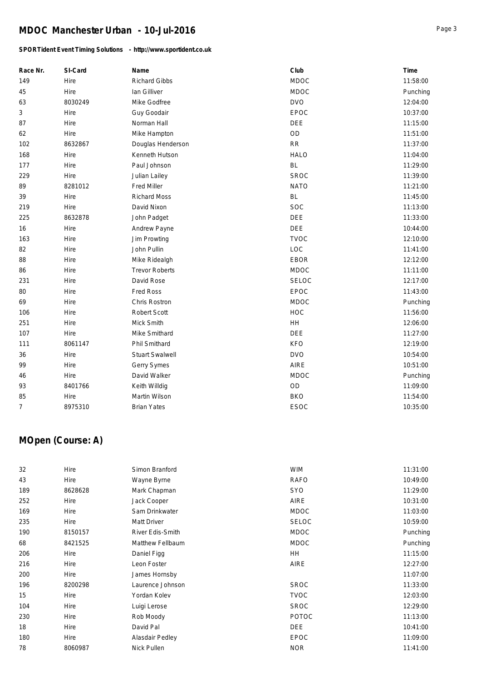### *SPORTident Event Timing Solutions - http://www.sportident.co.uk*

| Race Nr.       | SI-Card | Name                   | Club         | Time     |
|----------------|---------|------------------------|--------------|----------|
| 149            | Hire    | <b>Richard Gibbs</b>   | <b>MDOC</b>  | 11:58:00 |
| 45             | Hire    | Ian Gilliver           | <b>MDOC</b>  | Punching |
| 63             | 8030249 | Mike Godfree           | <b>DVO</b>   | 12:04:00 |
| $\mathfrak{Z}$ | Hire    | Guy Goodair            | EPOC         | 10:37:00 |
| 87             | Hire    | Norman Hall            | DEE          | 11:15:00 |
| 62             | Hire    | Mike Hampton           | OD           | 11:51:00 |
| 102            | 8632867 | Douglas Henderson      | RR           | 11:37:00 |
| 168            | Hire    | Kenneth Hutson         | <b>HALO</b>  | 11:04:00 |
| 177            | Hire    | Paul Johnson           | <b>BL</b>    | 11:29:00 |
| 229            | Hire    | Julian Lailey          | <b>SROC</b>  | 11:39:00 |
| 89             | 8281012 | <b>Fred Miller</b>     | <b>NATO</b>  | 11:21:00 |
| 39             | Hire    | <b>Richard Moss</b>    | <b>BL</b>    | 11:45:00 |
| 219            | Hire    | David Nixon            | SOC          | 11:13:00 |
| 225            | 8632878 | John Padget            | DEE          | 11:33:00 |
| 16             | Hire    | Andrew Payne           | <b>DEE</b>   | 10:44:00 |
| 163            | Hire    | Jim Prowting           | <b>TVOC</b>  | 12:10:00 |
| 82             | Hire    | John Pullin            | LOC          | 11:41:00 |
| 88             | Hire    | Mike Ridealgh          | EBOR         | 12:12:00 |
| 86             | Hire    | <b>Trevor Roberts</b>  | <b>MDOC</b>  | 11:11:00 |
| 231            | Hire    | David Rose             | <b>SELOC</b> | 12:17:00 |
| 80             | Hire    | Fred Ross              | EPOC         | 11:43:00 |
| 69             | Hire    | Chris Rostron          | <b>MDOC</b>  | Punching |
| 106            | Hire    | Robert Scott           | <b>HOC</b>   | 11:56:00 |
| 251            | Hire    | Mick Smith             | HH           | 12:06:00 |
| 107            | Hire    | Mike Smithard          | <b>DEE</b>   | 11:27:00 |
| 111            | 8061147 | Phil Smithard          | <b>KFO</b>   | 12:19:00 |
| 36             | Hire    | <b>Stuart Swalwell</b> | <b>DVO</b>   | 10:54:00 |
| 99             | Hire    | Gerry Symes            | <b>AIRE</b>  | 10:51:00 |
| 46             | Hire    | David Walker           | <b>MDOC</b>  | Punching |
| 93             | 8401766 | Keith Willdig          | OD           | 11:09:00 |
| 85             | Hire    | Martin Wilson          | <b>BKO</b>   | 11:54:00 |
| 7              | 8975310 | <b>Brian Yates</b>     | <b>ESOC</b>  | 10:35:00 |

# **MOpen (Course: A)**

| 32  | Hire    | Simon Branford   | <b>WIM</b>   | 11:31:00 |
|-----|---------|------------------|--------------|----------|
| 43  | Hire    | Wayne Byrne      | <b>RAFO</b>  | 10:49:00 |
| 189 | 8628628 | Mark Chapman     | <b>SYO</b>   | 11:29:00 |
| 252 | Hire    | Jack Cooper      | AIRE         | 10:31:00 |
| 169 | Hire    | Sam Drinkwater   | <b>MDOC</b>  | 11:03:00 |
| 235 | Hire    | Matt Driver      | <b>SELOC</b> | 10:59:00 |
| 190 | 8150157 | River Edis-Smith | <b>MDOC</b>  | Punching |
| 68  | 8421525 | Matthew Fellbaum | <b>MDOC</b>  | Punching |
| 206 | Hire    | Daniel Figg      | HH           | 11:15:00 |
| 216 | Hire    | Leon Foster      | AIRE         | 12:27:00 |
| 200 | Hire    | James Hornsby    |              | 11:07:00 |
| 196 | 8200298 | Laurence Johnson | <b>SROC</b>  | 11:33:00 |
| 15  | Hire    | Yordan Kolev     | <b>TVOC</b>  | 12:03:00 |
| 104 | Hire    | Luigi Lerose     | <b>SROC</b>  | 12:29:00 |
| 230 | Hire    | Rob Moody        | <b>POTOC</b> | 11:13:00 |
| 18  | Hire    | David Pal        | <b>DEE</b>   | 10:41:00 |
| 180 | Hire    | Alasdair Pedley  | <b>EPOC</b>  | 11:09:00 |
| 78  | 8060987 | Nick Pullen      | <b>NOR</b>   | 11:41:00 |
|     |         |                  |              |          |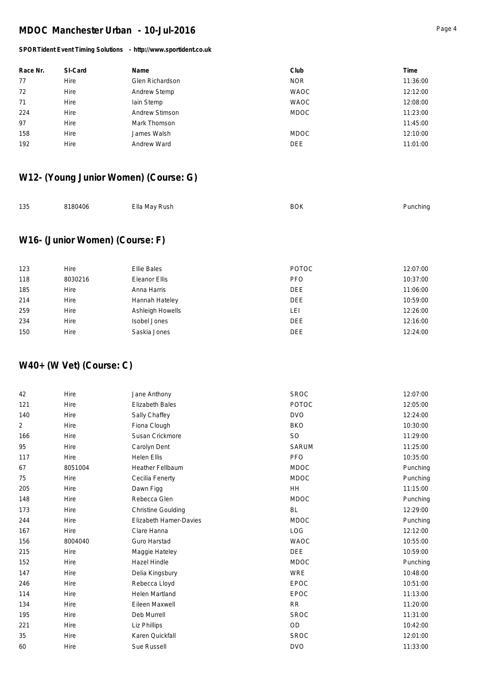#### *SPORTident Event Timing Solutions - http://www.sportident.co.uk*

| Race Nr. | SI-Card | Name                | Club        | Time     |
|----------|---------|---------------------|-------------|----------|
| 77       | Hire    | Glen Richardson     | <b>NOR</b>  | 11:36:00 |
| 72       | Hire    | <b>Andrew Stemp</b> | <b>WAOC</b> | 12:12:00 |
| 71       | Hire    | lain Stemp          | <b>WAOC</b> | 12:08:00 |
| 224      | Hire    | Andrew Stimson      | <b>MDOC</b> | 11:23:00 |
| 97       | Hire    | Mark Thomson        |             | 11:45:00 |
| 158      | Hire    | James Walsh         | <b>MDOC</b> | 12:10:00 |
| 192      | Hire    | Andrew Ward         | <b>DEE</b>  | 11:01:00 |

## **W12- (Young Junior Women) (Course: G)**

| 135 | 8180406 | Ella May Rush | <b>BOK</b> | Punching |
|-----|---------|---------------|------------|----------|
|     |         |               |            |          |

## **W16- (Junior Women) (Course: F)**

| 123 | Hire    | Ellie Bales      | <b>POTOC</b> | 12:07:00 |
|-----|---------|------------------|--------------|----------|
| 118 | 8030216 | Eleanor Ellis    | <b>PFO</b>   | 10:37:00 |
| 185 | Hire    | Anna Harris      | <b>DEE</b>   | 11:06:00 |
| 214 | Hire    | Hannah Hateley   | <b>DEE</b>   | 10:59:00 |
| 259 | Hire    | Ashleigh Howells | LEI          | 12:26:00 |
| 234 | Hire    | Isobel Jones     | <b>DEE</b>   | 12:16:00 |
| 150 | Hire    | Saskia Jones     | <b>DEE</b>   | 12:24:00 |
|     |         |                  |              |          |

## **W40+ (W Vet) (Course: C)**

| <b>POTOC</b><br><b>Elizabeth Bales</b><br>121<br>Hire<br><b>DVO</b><br>140<br>Sally Chaffey<br>Hire<br>2<br><b>BKO</b><br>Hire<br>Fiona Clough<br><b>SO</b><br>166<br>Hire<br>Susan Crickmore<br>95<br>Hire<br>Carolyn Dent<br><b>SARUM</b><br>PFO<br>117<br><b>Helen Ellis</b><br>Hire<br>8051004<br><b>Heather Fellbaum</b><br><b>MDOC</b><br>67<br>75<br><b>MDOC</b><br>Hire<br>Cecilia Fenerty<br>205<br>HH<br>Hire<br>Dawn Figg<br>148<br><b>MDOC</b><br>Hire<br>Rebecca Glen<br><b>Christine Goulding</b><br><b>BL</b><br>173<br>Hire<br>Elizabeth Hamer-Davies<br><b>MDOC</b><br>244<br>Hire<br>167<br>LOG<br>Hire<br>Clare Hanna<br><b>WAOC</b><br>156<br>8004040<br>Guro Harstad<br>215<br><b>DEE</b><br>Hire<br>Maggie Hateley<br>152<br>Hazel Hindle<br><b>MDOC</b><br>Hire<br><b>WRE</b><br>147<br>Hire<br>Delia Kingsbury<br>Rebecca Lloyd<br><b>EPOC</b><br>246<br>Hire<br><b>Helen Martland</b><br><b>EPOC</b><br>114<br>Hire<br>Eileen Maxwell<br>134<br>Hire<br><b>RR</b><br><b>SROC</b><br>195<br>Hire<br>Deb Murrell<br>OD<br>221<br>Hire<br>Liz Phillips<br>Karen Quickfall<br><b>SROC</b><br>35<br>Hire | 42 | Hire | Jane Anthony | <b>SROC</b> | 12:07:00 |
|------------------------------------------------------------------------------------------------------------------------------------------------------------------------------------------------------------------------------------------------------------------------------------------------------------------------------------------------------------------------------------------------------------------------------------------------------------------------------------------------------------------------------------------------------------------------------------------------------------------------------------------------------------------------------------------------------------------------------------------------------------------------------------------------------------------------------------------------------------------------------------------------------------------------------------------------------------------------------------------------------------------------------------------------------------------------------------------------------------------------------|----|------|--------------|-------------|----------|
|                                                                                                                                                                                                                                                                                                                                                                                                                                                                                                                                                                                                                                                                                                                                                                                                                                                                                                                                                                                                                                                                                                                              |    |      |              |             | 12:05:00 |
|                                                                                                                                                                                                                                                                                                                                                                                                                                                                                                                                                                                                                                                                                                                                                                                                                                                                                                                                                                                                                                                                                                                              |    |      |              |             | 12:24:00 |
|                                                                                                                                                                                                                                                                                                                                                                                                                                                                                                                                                                                                                                                                                                                                                                                                                                                                                                                                                                                                                                                                                                                              |    |      |              |             | 10:30:00 |
|                                                                                                                                                                                                                                                                                                                                                                                                                                                                                                                                                                                                                                                                                                                                                                                                                                                                                                                                                                                                                                                                                                                              |    |      |              |             | 11:29:00 |
|                                                                                                                                                                                                                                                                                                                                                                                                                                                                                                                                                                                                                                                                                                                                                                                                                                                                                                                                                                                                                                                                                                                              |    |      |              |             | 11:25:00 |
|                                                                                                                                                                                                                                                                                                                                                                                                                                                                                                                                                                                                                                                                                                                                                                                                                                                                                                                                                                                                                                                                                                                              |    |      |              |             | 10:35:00 |
|                                                                                                                                                                                                                                                                                                                                                                                                                                                                                                                                                                                                                                                                                                                                                                                                                                                                                                                                                                                                                                                                                                                              |    |      |              |             | Punching |
|                                                                                                                                                                                                                                                                                                                                                                                                                                                                                                                                                                                                                                                                                                                                                                                                                                                                                                                                                                                                                                                                                                                              |    |      |              |             | Punching |
|                                                                                                                                                                                                                                                                                                                                                                                                                                                                                                                                                                                                                                                                                                                                                                                                                                                                                                                                                                                                                                                                                                                              |    |      |              |             | 11:15:00 |
|                                                                                                                                                                                                                                                                                                                                                                                                                                                                                                                                                                                                                                                                                                                                                                                                                                                                                                                                                                                                                                                                                                                              |    |      |              |             | Punching |
|                                                                                                                                                                                                                                                                                                                                                                                                                                                                                                                                                                                                                                                                                                                                                                                                                                                                                                                                                                                                                                                                                                                              |    |      |              |             | 12:29:00 |
|                                                                                                                                                                                                                                                                                                                                                                                                                                                                                                                                                                                                                                                                                                                                                                                                                                                                                                                                                                                                                                                                                                                              |    |      |              |             | Punching |
|                                                                                                                                                                                                                                                                                                                                                                                                                                                                                                                                                                                                                                                                                                                                                                                                                                                                                                                                                                                                                                                                                                                              |    |      |              |             | 12:12:00 |
|                                                                                                                                                                                                                                                                                                                                                                                                                                                                                                                                                                                                                                                                                                                                                                                                                                                                                                                                                                                                                                                                                                                              |    |      |              |             | 10:55:00 |
|                                                                                                                                                                                                                                                                                                                                                                                                                                                                                                                                                                                                                                                                                                                                                                                                                                                                                                                                                                                                                                                                                                                              |    |      |              |             | 10:59:00 |
|                                                                                                                                                                                                                                                                                                                                                                                                                                                                                                                                                                                                                                                                                                                                                                                                                                                                                                                                                                                                                                                                                                                              |    |      |              |             | Punching |
|                                                                                                                                                                                                                                                                                                                                                                                                                                                                                                                                                                                                                                                                                                                                                                                                                                                                                                                                                                                                                                                                                                                              |    |      |              |             | 10:48:00 |
|                                                                                                                                                                                                                                                                                                                                                                                                                                                                                                                                                                                                                                                                                                                                                                                                                                                                                                                                                                                                                                                                                                                              |    |      |              |             | 10:51:00 |
|                                                                                                                                                                                                                                                                                                                                                                                                                                                                                                                                                                                                                                                                                                                                                                                                                                                                                                                                                                                                                                                                                                                              |    |      |              |             | 11:13:00 |
|                                                                                                                                                                                                                                                                                                                                                                                                                                                                                                                                                                                                                                                                                                                                                                                                                                                                                                                                                                                                                                                                                                                              |    |      |              |             | 11:20:00 |
|                                                                                                                                                                                                                                                                                                                                                                                                                                                                                                                                                                                                                                                                                                                                                                                                                                                                                                                                                                                                                                                                                                                              |    |      |              |             | 11:31:00 |
|                                                                                                                                                                                                                                                                                                                                                                                                                                                                                                                                                                                                                                                                                                                                                                                                                                                                                                                                                                                                                                                                                                                              |    |      |              |             | 10:42:00 |
|                                                                                                                                                                                                                                                                                                                                                                                                                                                                                                                                                                                                                                                                                                                                                                                                                                                                                                                                                                                                                                                                                                                              |    |      |              |             | 12:01:00 |
|                                                                                                                                                                                                                                                                                                                                                                                                                                                                                                                                                                                                                                                                                                                                                                                                                                                                                                                                                                                                                                                                                                                              | 60 | Hire | Sue Russell  | <b>DVO</b>  | 11:33:00 |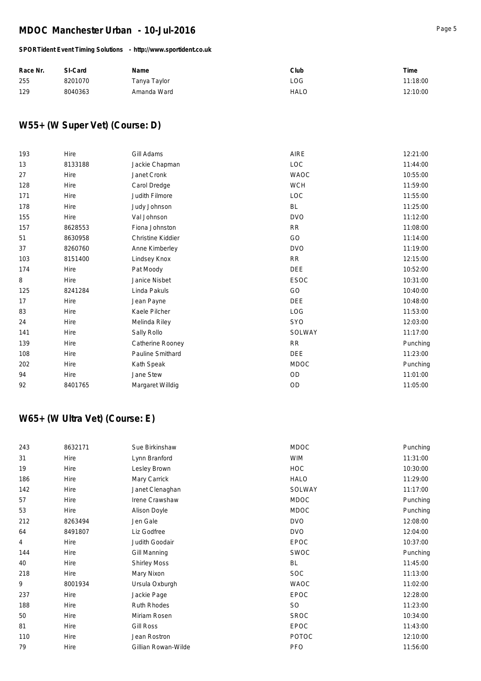### *SPORTident Event Timing Solutions - http://www.sportident.co.uk*

| Race Nr. | SI-Card | Name         | Club        | Time     |
|----------|---------|--------------|-------------|----------|
| 255      | 8201070 | Tanya Taylor | LOG         | 11:18:00 |
| 129      | 8040363 | Amanda Ward  | <b>HALO</b> | 12:10:00 |

## **W55+ (W Super Vet) (Course: D)**

| 193 | Hire    | Gill Adams        | AIRE        | 12:21:00 |
|-----|---------|-------------------|-------------|----------|
| 13  | 8133188 | Jackie Chapman    | LOC         | 11:44:00 |
| 27  | Hire    | Janet Cronk       | <b>WAOC</b> | 10:55:00 |
| 128 | Hire    | Carol Dredge      | <b>WCH</b>  | 11:59:00 |
| 171 | Hire    | Judith Filmore    | LOC         | 11:55:00 |
| 178 | Hire    | Judy Johnson      | <b>BL</b>   | 11:25:00 |
| 155 | Hire    | Val Johnson       | <b>DVO</b>  | 11:12:00 |
| 157 | 8628553 | Fiona Johnston    | <b>RR</b>   | 11:08:00 |
| 51  | 8630958 | Christine Kiddier | GO          | 11:14:00 |
| 37  | 8260760 | Anne Kimberley    | <b>DVO</b>  | 11:19:00 |
| 103 | 8151400 | Lindsey Knox      | <b>RR</b>   | 12:15:00 |
| 174 | Hire    | Pat Moody         | DEE         | 10:52:00 |
| 8   | Hire    | Janice Nisbet     | <b>ESOC</b> | 10:31:00 |
| 125 | 8241284 | Linda Pakuls      | GO          | 10:40:00 |
| 17  | Hire    | Jean Payne        | DEE         | 10:48:00 |
| 83  | Hire    | Kaele Pilcher     | <b>LOG</b>  | 11:53:00 |
| 24  | Hire    | Melinda Riley     | <b>SYO</b>  | 12:03:00 |
| 141 | Hire    | Sally Rollo       | SOLWAY      | 11:17:00 |
| 139 | Hire    | Catherine Rooney  | RR          | Punching |
| 108 | Hire    | Pauline Smithard  | DEE         | 11:23:00 |
| 202 | Hire    | Kath Speak        | <b>MDOC</b> | Punching |
| 94  | Hire    | Jane Stew         | OD          | 11:01:00 |
| 92  | 8401765 | Margaret Willdig  | OD          | 11:05:00 |

## **W65+ (W Ultra Vet) (Course: E)**

| 243            | 8632171 | Sue Birkinshaw      | <b>MDOC</b>  | Punching |
|----------------|---------|---------------------|--------------|----------|
| 31             | Hire    | Lynn Branford       | <b>WIM</b>   | 11:31:00 |
| 19             | Hire    | Lesley Brown        | <b>HOC</b>   | 10:30:00 |
| 186            | Hire    | Mary Carrick        | <b>HALO</b>  | 11:29:00 |
| 142            | Hire    | Janet Clenaghan     | SOLWAY       | 11:17:00 |
| 57             | Hire    | Irene Crawshaw      | <b>MDOC</b>  | Punching |
| 53             | Hire    | <b>Alison Doyle</b> | <b>MDOC</b>  | Punching |
| 212            | 8263494 | Jen Gale            | <b>DVO</b>   | 12:08:00 |
| 64             | 8491807 | Liz Godfree         | <b>DVO</b>   | 12:04:00 |
| $\overline{4}$ | Hire    | Judith Goodair      | <b>EPOC</b>  | 10:37:00 |
| 144            | Hire    | Gill Manning        | SWOC         | Punching |
| 40             | Hire    | <b>Shirley Moss</b> | BL           | 11:45:00 |
| 218            | Hire    | Mary Nixon          | <b>SOC</b>   | 11:13:00 |
| 9              | 8001934 | Ursula Oxburgh      | <b>WAOC</b>  | 11:02:00 |
| 237            | Hire    | Jackie Page         | <b>EPOC</b>  | 12:28:00 |
| 188            | Hire    | Ruth Rhodes         | <b>SO</b>    | 11:23:00 |
| 50             | Hire    | Miriam Rosen        | <b>SROC</b>  | 10:34:00 |
| 81             | Hire    | <b>Gill Ross</b>    | <b>EPOC</b>  | 11:43:00 |
| 110            | Hire    | Jean Rostron        | <b>POTOC</b> | 12:10:00 |
| 79             | Hire    | Gillian Rowan-Wilde | <b>PFO</b>   | 11:56:00 |
|                |         |                     |              |          |